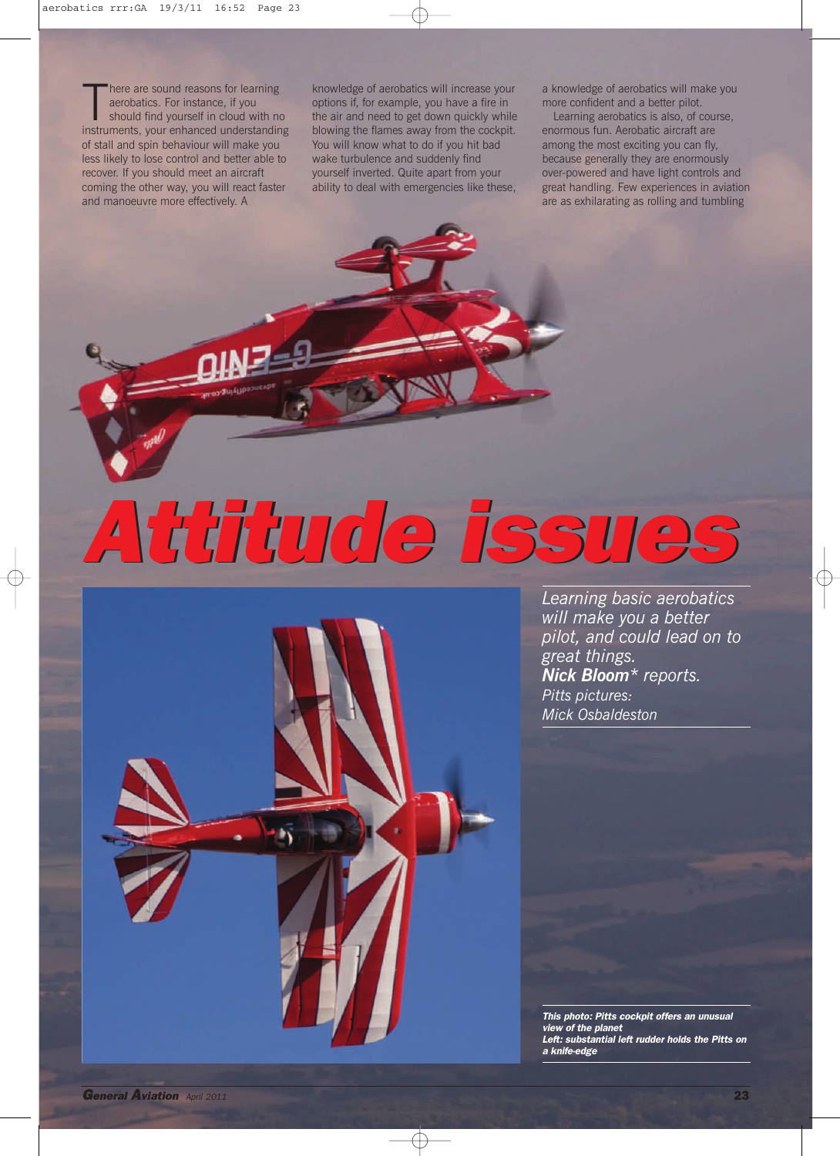There are sound reasons for learning<br>aerobatics. For instance, if you<br>should find yourself in cloud with no<br>instruments, your enhanced understanding here are sound reasons for learning aerobatics. For instance, if you should find yourself in cloud with no of stall and spin behaviour will make you less likely to lose control and better able to recover. If you should meet an aircraft coming the other way, you will react faster and manoeuvre more effectively. A

knowledge of aerobatics will increase your options if, for example, you have a fire in the air and need to get down quickly while blowing the flames away from the cockpit. You will know what to do if you hit bad wake turbulence and suddenly find yourself inverted. Quite apart from your ability to deal with emergencies like these,

a knowledge of aerobatics will make you more confident and a better pilot.

Learning aerobatics is also, of course, enormous fun. Aerobatic aircraft are among the most exciting you can fly, because generally they are enormously over-powered and have light controls and great handling. Few experiences in aviation are as exhilarating as rolling and tumbling

*Attitude issues Attitude issues*

*Learning basic aerobatics will make you a better pilot, and could lead on to great things. Nick Bloom\* reports. Pitts pictures: Mick Osbaldeston*

*This photo: Pitts cockpit offers an unusual view of the planet Left: substantial left rudder holds the Pitts on a knife-edge*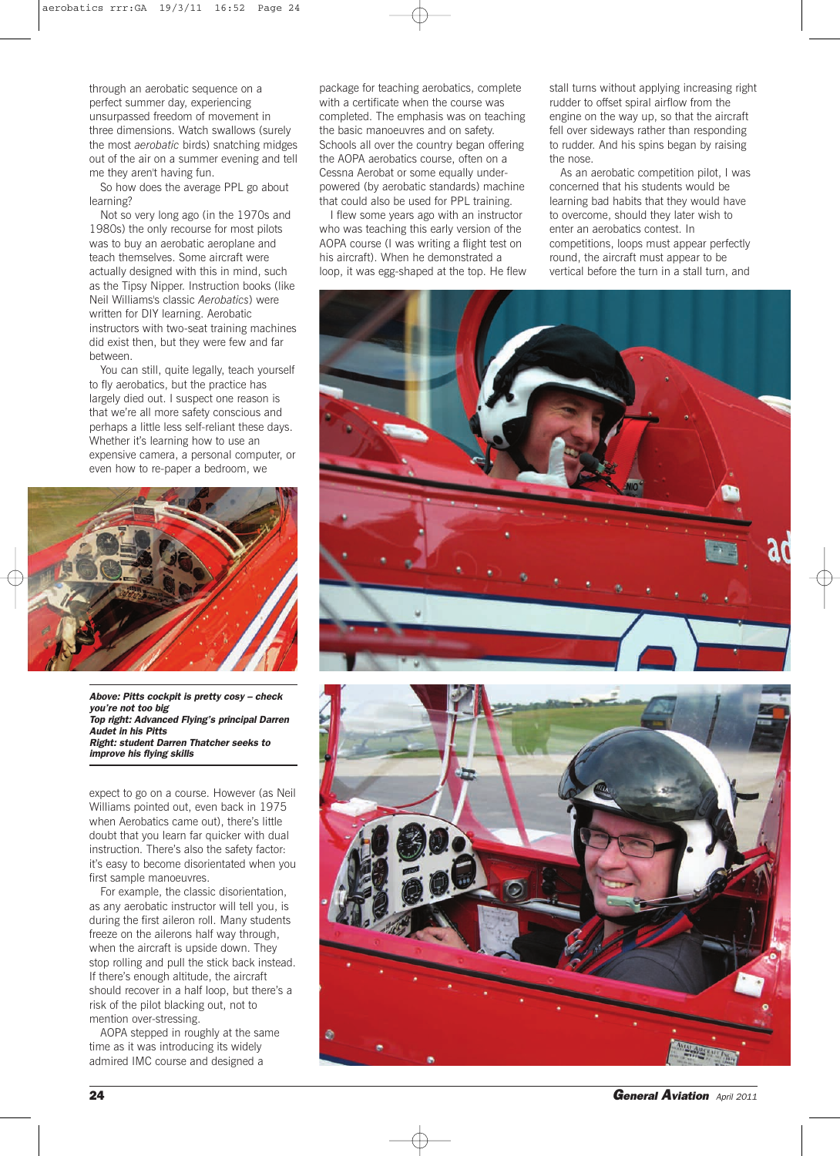through an aerobatic sequence on a perfect summer day, experiencing unsurpassed freedom of movement in three dimensions. Watch swallows (surely the most *aerobatic* birds) snatching midges out of the air on a summer evening and tell me they aren't having fun.

So how does the average PPL go about learning?

Not so very long ago (in the 1970s and 1980s) the only recourse for most pilots was to buy an aerobatic aeroplane and teach themselves. Some aircraft were actually designed with this in mind, such as the Tipsy Nipper. Instruction books (like Neil Williams's classic *Aerobatics*) were written for DIY learning. Aerobatic instructors with two-seat training machines did exist then, but they were few and far between.

You can still, quite legally, teach yourself to fly aerobatics, but the practice has largely died out. I suspect one reason is that we're all more safety conscious and perhaps a little less self-reliant these days. Whether it's learning how to use an expensive camera, a personal computer, or even how to re-paper a bedroom, we



*Above: Pitts cockpit is pretty cosy – check you're not too big Top right: Advanced Flying's principal Darren Audet in his Pitts Right: student Darren Thatcher seeks to improve his flying skills*

expect to go on a course. However (as Neil Williams pointed out, even back in 1975 when Aerobatics came out), there's little doubt that you learn far quicker with dual instruction. There's also the safety factor: it's easy to become disorientated when you first sample manoeuvres.

For example, the classic disorientation, as any aerobatic instructor will tell you, is during the first aileron roll. Many students freeze on the ailerons half way through, when the aircraft is upside down. They stop rolling and pull the stick back instead. If there's enough altitude, the aircraft should recover in a half loop, but there's a risk of the pilot blacking out, not to mention over-stressing.

AOPA stepped in roughly at the same time as it was introducing its widely admired IMC course and designed a

package for teaching aerobatics, complete with a certificate when the course was completed. The emphasis was on teaching the basic manoeuvres and on safety. Schools all over the country began offering the AOPA aerobatics course, often on a Cessna Aerobat or some equally underpowered (by aerobatic standards) machine that could also be used for PPL training.

I flew some years ago with an instructor who was teaching this early version of the AOPA course (I was writing a flight test on his aircraft). When he demonstrated a loop, it was egg-shaped at the top. He flew stall turns without applying increasing right rudder to offset spiral airflow from the engine on the way up, so that the aircraft fell over sideways rather than responding to rudder. And his spins began by raising the nose.

As an aerobatic competition pilot, I was concerned that his students would be learning bad habits that they would have to overcome, should they later wish to enter an aerobatics contest. In competitions, loops must appear perfectly round, the aircraft must appear to be vertical before the turn in a stall turn, and





**24** *General Aviation April 2011*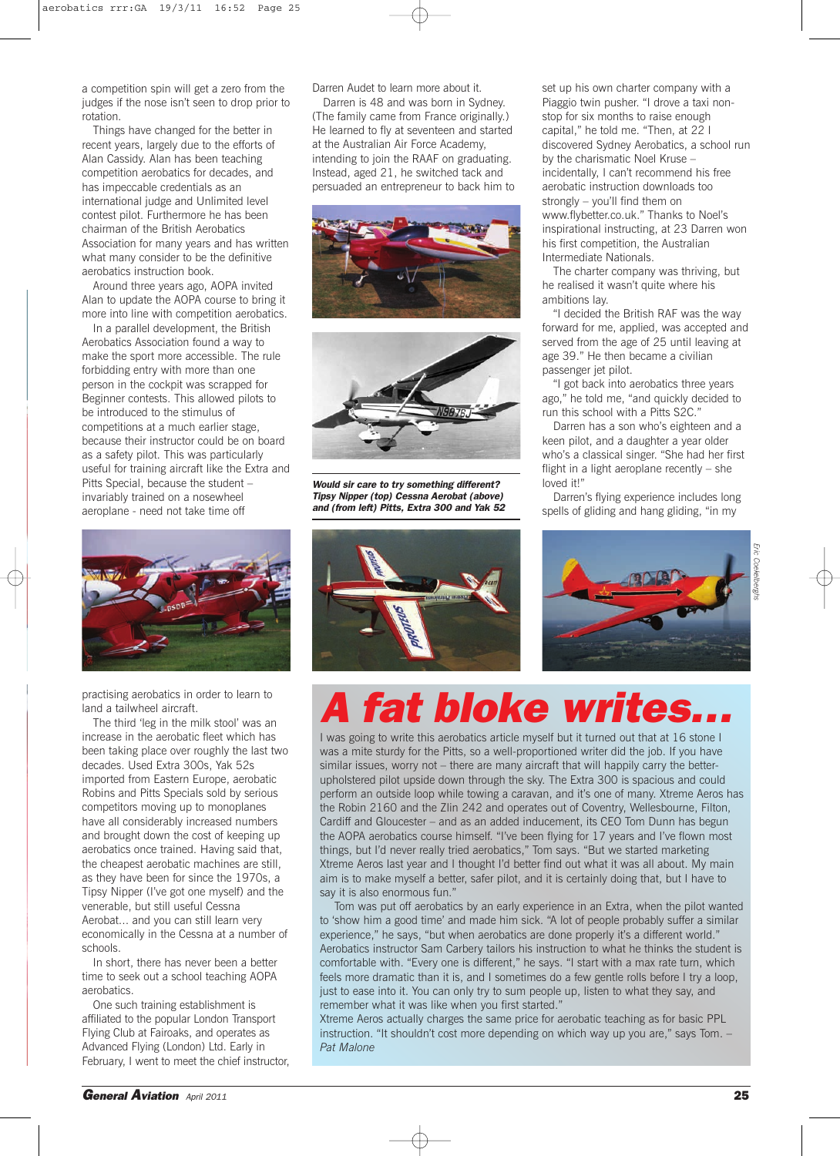a competition spin will get a zero from the judges if the nose isn't seen to drop prior to rotation.

Things have changed for the better in recent years, largely due to the efforts of Alan Cassidy. Alan has been teaching competition aerobatics for decades, and has impeccable credentials as an international judge and Unlimited level contest pilot. Furthermore he has been chairman of the British Aerobatics Association for many years and has written what many consider to be the definitive aerobatics instruction book.

Around three years ago, AOPA invited Alan to update the AOPA course to bring it more into line with competition aerobatics.

In a parallel development, the British Aerobatics Association found a way to make the sport more accessible. The rule forbidding entry with more than one person in the cockpit was scrapped for Beginner contests. This allowed pilots to be introduced to the stimulus of competitions at a much earlier stage, because their instructor could be on board as a safety pilot. This was particularly useful for training aircraft like the Extra and Pitts Special, because the student – invariably trained on a nosewheel aeroplane - need not take time off



practising aerobatics in order to learn to land a tailwheel aircraft.

The third 'leg in the milk stool' was an increase in the aerobatic fleet which has been taking place over roughly the last two decades. Used Extra 300s, Yak 52s imported from Eastern Europe, aerobatic Robins and Pitts Specials sold by serious competitors moving up to monoplanes have all considerably increased numbers and brought down the cost of keeping up aerobatics once trained. Having said that, the cheapest aerobatic machines are still, as they have been for since the 1970s, a Tipsy Nipper (I've got one myself) and the venerable, but still useful Cessna Aerobat... and you can still learn very economically in the Cessna at a number of schools.

In short, there has never been a better time to seek out a school teaching AOPA aerobatics.

One such training establishment is affiliated to the popular London Transport Flying Club at Fairoaks, and operates as Advanced Flying (London) Ltd. Early in February, I went to meet the chief instructor, Darren Audet to learn more about it.

Darren is 48 and was born in Sydney. (The family came from France originally.) He learned to fly at seventeen and started at the Australian Air Force Academy, intending to join the RAAF on graduating. Instead, aged 21, he switched tack and persuaded an entrepreneur to back him to





*Would sir care to try something different? Tipsy Nipper (top) Cessna Aerobat (above) and (from left) Pitts, Extra 300 and Yak 52*



set up his own charter company with a Piaggio twin pusher. "I drove a taxi nonstop for six months to raise enough capital," he told me. "Then, at 22 I discovered Sydney Aerobatics, a school run by the charismatic Noel Kruse – incidentally, I can't recommend his free aerobatic instruction downloads too strongly – you'll find them on www.flybetter.co.uk." Thanks to Noel's inspirational instructing, at 23 Darren won his first competition, the Australian Intermediate Nationals.

The charter company was thriving, but he realised it wasn't quite where his ambitions lay.

"I decided the British RAF was the way forward for me, applied, was accepted and served from the age of 25 until leaving at age 39." He then became a civilian passenger jet pilot.

"I got back into aerobatics three years ago," he told me, "and quickly decided to run this school with a Pitts S2C."

Darren has a son who's eighteen and a keen pilot, and a daughter a year older who's a classical singer. "She had her first flight in a light aeroplane recently – she loved it!"

Darren's flying experience includes long spells of gliding and hang gliding, "in my



**A fat bloke write** 

I was going to write this aerobatics article myself but it turned out that at 16 stone I was a mite sturdy for the Pitts, so a well-proportioned writer did the job. If you have similar issues, worry not – there are many aircraft that will happily carry the betterupholstered pilot upside down through the sky. The Extra 300 is spacious and could perform an outside loop while towing a caravan, and it's one of many. Xtreme Aeros has the Robin 2160 and the Zlin 242 and operates out of Coventry, Wellesbourne, Filton, Cardiff and Gloucester – and as an added inducement, its CEO Tom Dunn has begun the AOPA aerobatics course himself. "I've been flying for 17 years and I've flown most things, but I'd never really tried aerobatics," Tom says. "But we started marketing Xtreme Aeros last year and I thought I'd better find out what it was all about. My main aim is to make myself a better, safer pilot, and it is certainly doing that, but I have to say it is also enormous fun."

Tom was put off aerobatics by an early experience in an Extra, when the pilot wanted to 'show him a good time' and made him sick. "A lot of people probably suffer a similar experience," he says, "but when aerobatics are done properly it's a different world." Aerobatics instructor Sam Carbery tailors his instruction to what he thinks the student is comfortable with. "Every one is different," he says. "I start with a max rate turn, which feels more dramatic than it is, and I sometimes do a few gentle rolls before I try a loop, just to ease into it. You can only try to sum people up, listen to what they say, and remember what it was like when you first started."

Xtreme Aeros actually charges the same price for aerobatic teaching as for basic PPL instruction. "It shouldn't cost more depending on which way up you are," says Tom. – *Pat Malone*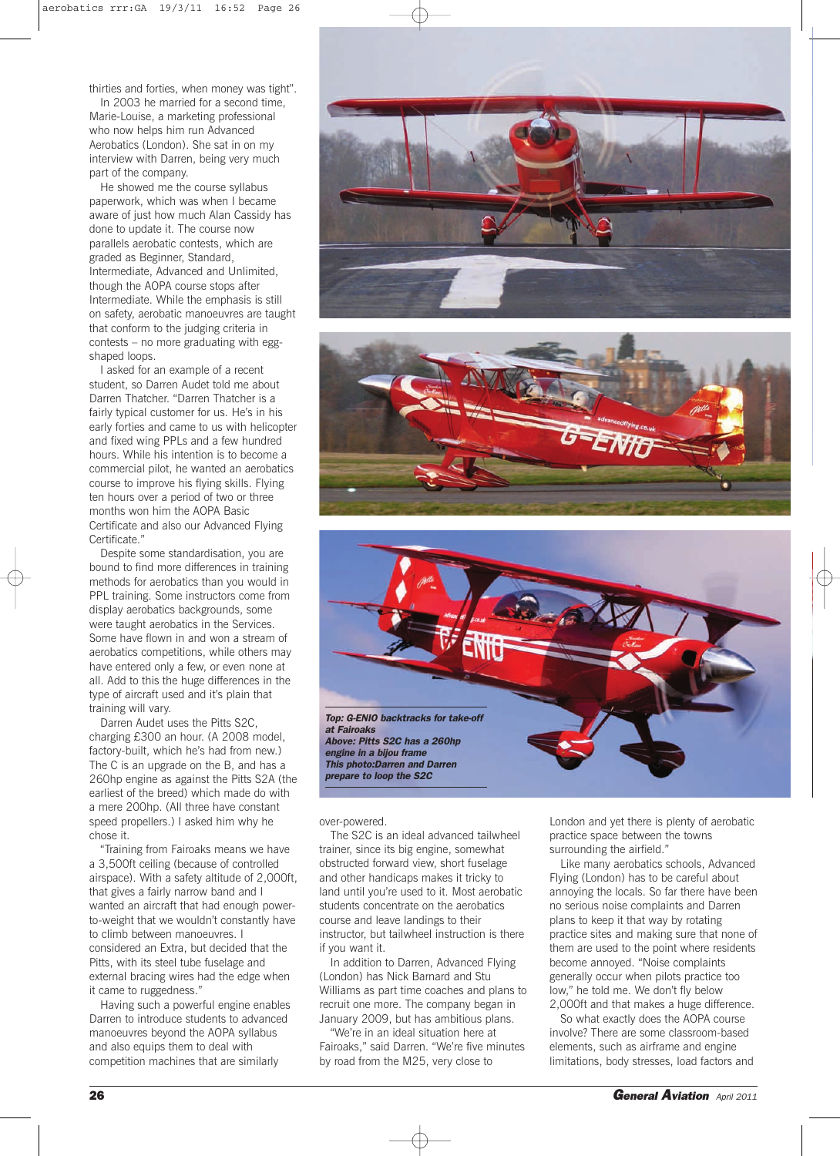thirties and forties, when money was tight".

In 2003 he married for a second time, Marie-Louise, a marketing professional who now helps him run Advanced Aerobatics (London). She sat in on my interview with Darren, being very much part of the company.

He showed me the course syllabus paperwork, which was when I became aware of just how much Alan Cassidy has done to update it. The course now parallels aerobatic contests, which are graded as Beginner, Standard, Intermediate, Advanced and Unlimited, though the AOPA course stops after Intermediate. While the emphasis is still on safety, aerobatic manoeuvres are taught that conform to the judging criteria in contests – no more graduating with eggshaped loops.

I asked for an example of a recent student, so Darren Audet told me about Darren Thatcher. "Darren Thatcher is a fairly typical customer for us. He's in his early forties and came to us with helicopter and fixed wing PPLs and a few hundred hours. While his intention is to become a commercial pilot, he wanted an aerobatics course to improve his flying skills. Flying ten hours over a period of two or three months won him the AOPA Basic Certificate and also our Advanced Flying Certificate."

Despite some standardisation, you are bound to find more differences in training methods for aerobatics than you would in PPL training. Some instructors come from display aerobatics backgrounds, some were taught aerobatics in the Services. Some have flown in and won a stream of aerobatics competitions, while others may have entered only a few, or even none at all. Add to this the huge differences in the type of aircraft used and it's plain that training will vary.

Darren Audet uses the Pitts S2C, charging £300 an hour. (A 2008 model, factory-built, which he's had from new.) The C is an upgrade on the B, and has a 260hp engine as against the Pitts S2A (the earliest of the breed) which made do with a mere 200hp. (All three have constant speed propellers.) I asked him why he chose it.

"Training from Fairoaks means we have a 3,500ft ceiling (because of controlled airspace). With a safety altitude of 2,000ft, that gives a fairly narrow band and I wanted an aircraft that had enough powerto-weight that we wouldn't constantly have to climb between manoeuvres. I considered an Extra, but decided that the Pitts, with its steel tube fuselage and external bracing wires had the edge when it came to ruggedness."

Having such a powerful engine enables Darren to introduce students to advanced manoeuvres beyond the AOPA syllabus and also equips them to deal with competition machines that are similarly







over-powered.

The S2C is an ideal advanced tailwheel trainer, since its big engine, somewhat obstructed forward view, short fuselage and other handicaps makes it tricky to land until you're used to it. Most aerobatic students concentrate on the aerobatics course and leave landings to their instructor, but tailwheel instruction is there if you want it.

In addition to Darren, Advanced Flying (London) has Nick Barnard and Stu Williams as part time coaches and plans to recruit one more. The company began in January 2009, but has ambitious plans.

"We're in an ideal situation here at Fairoaks," said Darren. "We're five minutes by road from the M25, very close to

London and yet there is plenty of aerobatic practice space between the towns surrounding the airfield."

Like many aerobatics schools, Advanced Flying (London) has to be careful about annoying the locals. So far there have been no serious noise complaints and Darren plans to keep it that way by rotating practice sites and making sure that none of them are used to the point where residents become annoyed. "Noise complaints generally occur when pilots practice too low," he told me. We don't fly below 2,000ft and that makes a huge difference.

So what exactly does the AOPA course involve? There are some classroom-based elements, such as airframe and engine limitations, body stresses, load factors and